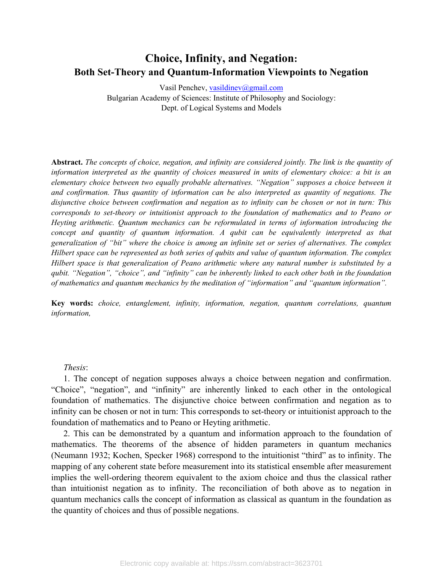# **Choice, Infinity, and Negation: Both Set-Theory and Quantum-Information Viewpoints to Negation**

Vasil Penchev, [vasildinev@gmail.com](mailto:vasildinev@gmail.com) Bulgarian Academy of Sciences: Institute of Philosophy and Sociology: Dept. of Logical Systems and Models

**Abstract.** *The concepts of choice, negation, and infinity are considered jointly. The link is the quantity of information interpreted as the quantity of choices measured in units of elementary choice: a bit is an elementary choice between two equally probable alternatives. "Negation" supposes a choice between it and confirmation. Thus quantity of information can be also interpreted as quantity of negations. The disjunctive choice between confirmation and negation as to infinity can be chosen or not in turn: This corresponds to set-theory or intuitionist approach to the foundation of mathematics and to Peano or Heyting arithmetic. Quantum mechanics can be reformulated in terms of information introducing the concept and quantity of quantum information. A qubit can be equivalently interpreted as that generalization of "bit" where the choice is among an infinite set or series of alternatives. The complex Hilbert space can be represented as both series of qubits and value of quantum information. The complex Hilbert space is that generalization of Peano arithmetic where any natural number is substituted by a qubit. "Negation", "choice", and "infinity" can be inherently linked to each other both in the foundation of mathematics and quantum mechanics by the meditation of "information" and "quantum information".*

**Key words:** *choice, entanglement, infinity, information, negation, quantum correlations, quantum information,* 

#### *Thesis*:

1. The concept of negation supposes always a choice between negation and confirmation. "Choice", "negation", and "infinity" are inherently linked to each other in the ontological foundation of mathematics. The disjunctive choice between confirmation and negation as to infinity can be chosen or not in turn: This corresponds to set-theory or intuitionist approach to the foundation of mathematics and to Peano or Heyting arithmetic.

2. This can be demonstrated by a quantum and information approach to the foundation of mathematics. The theorems of the absence of hidden parameters in quantum mechanics (Neumann 1932; Kochen, Specker 1968) correspond to the intuitionist "third" as to infinity. The mapping of any coherent state before measurement into its statistical ensemble after measurement implies the well-ordering theorem equivalent to the axiom choice and thus the classical rather than intuitionist negation as to infinity. The reconciliation of both above as to negation in quantum mechanics calls the concept of information as classical as quantum in the foundation as the quantity of choices and thus of possible negations.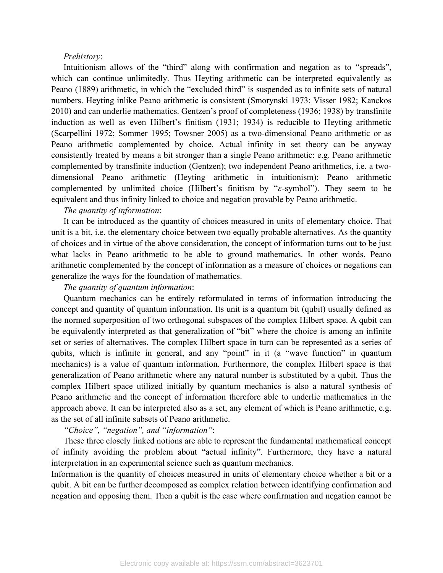#### *Prehistory*:

Intuitionism allows of the "third" along with confirmation and negation as to "spreads", which can continue unlimitedly. Thus Heyting arithmetic can be interpreted equivalently as Peano (1889) arithmetic, in which the "excluded third" is suspended as to infinite sets of natural numbers. Heyting inlike Peano arithmetic is consistent (Smorynski 1973; Visser 1982; Kanckos 2010) and can underlie mathematics. Gentzen's proof of completeness (1936; 1938) by transfinite induction as well as even Hilbert's finitism (1931; 1934) is reducible to Heyting arithmetic (Scarpellini 1972; Sommer 1995; Towsner 2005) as a two-dimensional Peano arithmetic or as Peano arithmetic complemented by choice. Actual infinity in set theory can be anyway consistently treated by means a bit stronger than a single Peano arithmetic: e.g. Peano arithmetic complemented by transfinite induction (Gentzen); two independent Peano arithmetics, i.e. a twodimensional Peano arithmetic (Heyting arithmetic in intuitionism); Peano arithmetic complemented by unlimited choice (Hilbert's finitism by " $\varepsilon$ -symbol"). They seem to be equivalent and thus infinity linked to choice and negation provable by Peano arithmetic.

### *The quantity of information*:

It can be introduced as the quantity of choices measured in units of elementary choice. That unit is a bit, i.e. the elementary choice between two equally probable alternatives. As the quantity of choices and in virtue of the above consideration, the concept of information turns out to be just what lacks in Peano arithmetic to be able to ground mathematics. In other words, Peano arithmetic complemented by the concept of information as a measure of choices or negations can generalize the ways for the foundation of mathematics.

#### *The quantity of quantum information*:

Quantum mechanics can be entirely reformulated in terms of information introducing the concept and quantity of quantum information. Its unit is a quantum bit (qubit) usually defined as the normed superposition of two orthogonal subspaces of the complex Hilbert space. A qubit can be equivalently interpreted as that generalization of "bit" where the choice is among an infinite set or series of alternatives. The complex Hilbert space in turn can be represented as a series of qubits, which is infinite in general, and any "point" in it (a "wave function" in quantum mechanics) is a value of quantum information. Furthermore, the complex Hilbert space is that generalization of Peano arithmetic where any natural number is substituted by a qubit. Thus the complex Hilbert space utilized initially by quantum mechanics is also a natural synthesis of Peano arithmetic and the concept of information therefore able to underlie mathematics in the approach above. It can be interpreted also as a set, any element of which is Peano arithmetic, e.g. as the set of all infinite subsets of Peano arithmetic.

## *"Choice", "negation", and "information"*:

These three closely linked notions are able to represent the fundamental mathematical concept of infinity avoiding the problem about "actual infinity". Furthermore, they have a natural interpretation in an experimental science such as quantum mechanics.

Information is the quantity of choices measured in units of elementary choice whether a bit or a qubit. A bit can be further decomposed as complex relation between identifying confirmation and negation and opposing them. Then a qubit is the case where confirmation and negation cannot be